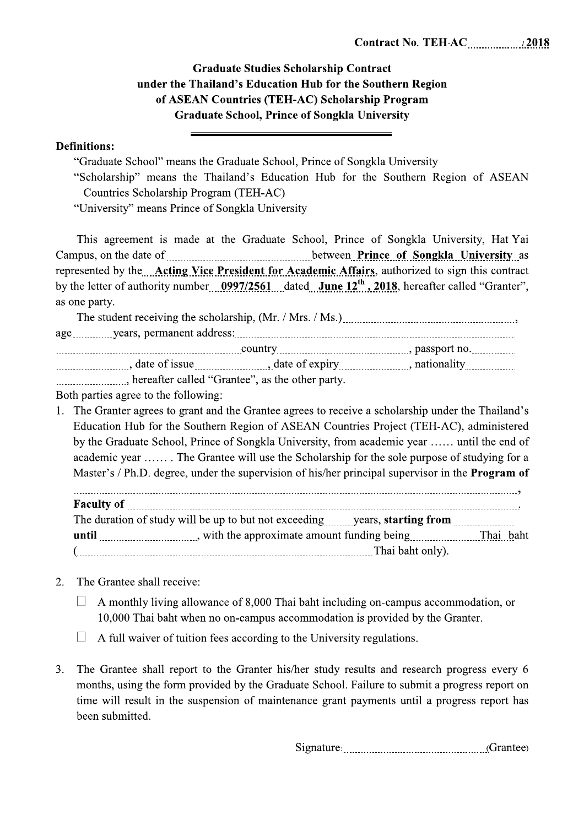## **Graduate Studies Scholarship Contract** under the Thailand's Education Hub for the Southern Region of ASEAN Countries (TEH-AC) Scholarship Program **Graduate School, Prince of Songkla University**

## **Definitions:**

"Graduate School" means the Graduate School, Prince of Songkla University

"Scholarship" means the Thailand's Education Hub for the Southern Region of ASEAN Countries Scholarship Program (TEH-AC)

"University" means Prince of Songkla University

This agreement is made at the Graduate School, Prince of Songkla University, Hat Yai Campus, on the date of Songkla University as between Prince of Songkla University as represented by the Acting Vice President for Academic Affairs, authorized to sign this contract by the letter of authority number  $0997/2561$  dated June 12<sup>th</sup>, 2018, hereafter called "Granter", as one party.

| hereafter called "Grantee", as the other party. |  |  |  |  |
|-------------------------------------------------|--|--|--|--|

Both parties agree to the following:

1. The Granter agrees to grant and the Grantee agrees to receive a scholarship under the Thailand's Education Hub for the Southern Region of ASEAN Countries Project (TEH-AC), administered by the Graduate School, Prince of Songkla University, from academic year ...... until the end of academic year ....... The Grantee will use the Scholarship for the sole purpose of studying for a Master's / Ph.D. degree, under the supervision of his/her principal supervisor in the **Program of** 

 $\overline{\phantom{a}}$ The duration of study will be up to but not exceeding..........years, starting from .......................... **until** <u>Indianal provident</u> with the approximate amount funding being Thai Daht 

- The Grantee shall receive:  $2.$ 
	- $\Box$  A monthly living allowance of 8,000 Thai baht including on-campus accommodation, or 10,000 Thai baht when no on-campus accommodation is provided by the Granter.
	- $\Box$  A full waiver of tuition fees according to the University regulations.
- $3.$ The Grantee shall report to the Granter his/her study results and research progress every 6 months, using the form provided by the Graduate School. Failure to submit a progress report on time will result in the suspension of maintenance grant payments until a progress report has been submitted.

Signature: (Grantee)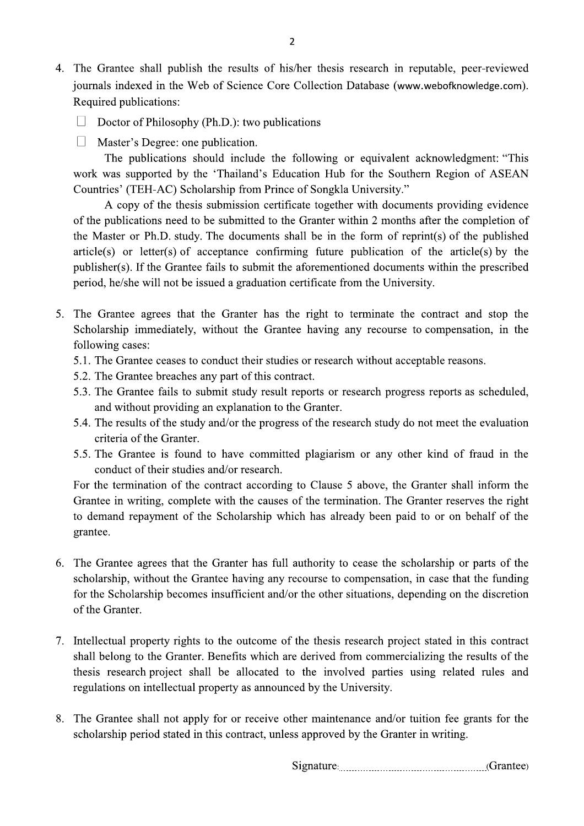4. The Grantee shall publish the results of his/her thesis research in reputable, peer-reviewed journals indexed in the Web of Science Core Collection Database (www.webofknowledge.com). Required publications:

 $\overline{2}$ 

- $\Box$  Doctor of Philosophy (Ph.D.): two publications
- $\Box$  Master's Degree: one publication.

The publications should include the following or equivalent acknowledgment: "This work was supported by the 'Thailand's Education Hub for the Southern Region of ASEAN Countries' (TEH-AC) Scholarship from Prince of Songkla University."

A copy of the thesis submission certificate together with documents providing evidence of the publications need to be submitted to the Granter within 2 months after the completion of the Master or Ph.D. study. The documents shall be in the form of reprint(s) of the published  $article(s)$  or letter(s) of acceptance confirming future publication of the article(s) by the publisher(s). If the Grantee fails to submit the aforementioned documents within the prescribed period, he/she will not be issued a graduation certificate from the University.

- 5. The Grantee agrees that the Granter has the right to terminate the contract and stop the Scholarship immediately, without the Grantee having any recourse to compensation, in the following cases:
	- 5.1. The Grantee ceases to conduct their studies or research without acceptable reasons.
	- 5.2. The Grantee breaches any part of this contract.
	- 5.3. The Grantee fails to submit study result reports or research progress reports as scheduled, and without providing an explanation to the Granter.
	- 5.4. The results of the study and/or the progress of the research study do not meet the evaluation criteria of the Granter
	- 5.5. The Grantee is found to have committed plagiarism or any other kind of fraud in the conduct of their studies and/or research.

For the termination of the contract according to Clause 5 above, the Granter shall inform the Grantee in writing, complete with the causes of the termination. The Granter reserves the right to demand repayment of the Scholarship which has already been paid to or on behalf of the grantee.

- 6. The Grantee agrees that the Granter has full authority to cease the scholarship or parts of the scholarship, without the Grantee having any recourse to compensation, in case that the funding for the Scholarship becomes insufficient and/or the other situations, depending on the discretion of the Granter.
- 7. Intellectual property rights to the outcome of the thesis research project stated in this contract shall belong to the Granter. Benefits which are derived from commercializing the results of the thesis research project shall be allocated to the involved parties using related rules and regulations on intellectual property as announced by the University.
- The Grantee shall not apply for or receive other maintenance and/or tuition fee grants for the 8. scholarship period stated in this contract, unless approved by the Granter in writing.

Signature: Crantee)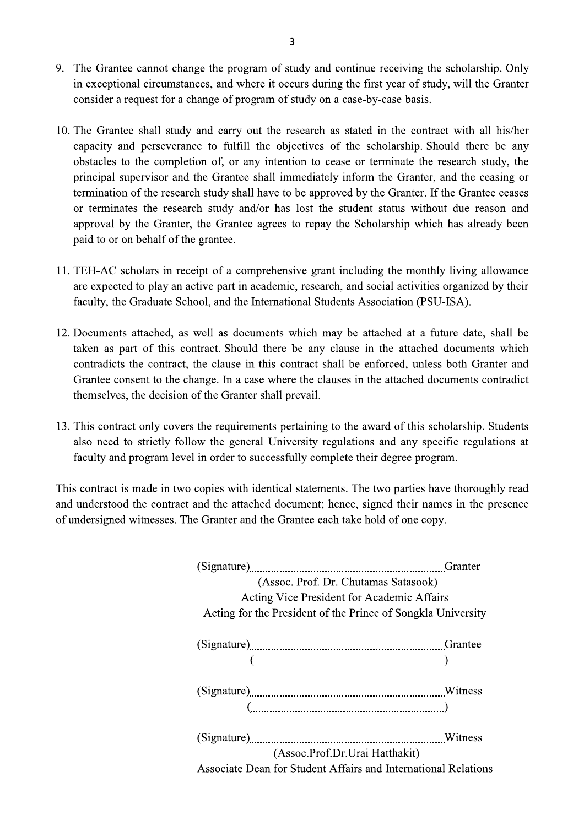- 9. The Grantee cannot change the program of study and continue receiving the scholarship. Only in exceptional circumstances, and where it occurs during the first year of study, will the Granter consider a request for a change of program of study on a case-by-case basis.
- 10. The Grantee shall study and carry out the research as stated in the contract with all his/her capacity and perseverance to fulfill the objectives of the scholarship. Should there be any obstacles to the completion of, or any intention to cease or terminate the research study, the principal supervisor and the Grantee shall immediately inform the Granter, and the ceasing or termination of the research study shall have to be approved by the Granter. If the Grantee ceases or terminates the research study and/or has lost the student status without due reason and approval by the Granter, the Grantee agrees to repay the Scholarship which has already been paid to or on behalf of the grantee.
- 11. TEH-AC scholars in receipt of a comprehensive grant including the monthly living allowance are expected to play an active part in academic, research, and social activities organized by their faculty, the Graduate School, and the International Students Association (PSU-ISA).
- 12. Documents attached, as well as documents which may be attached at a future date, shall be taken as part of this contract. Should there be any clause in the attached documents which contradicts the contract, the clause in this contract shall be enforced, unless both Granter and Grantee consent to the change. In a case where the clauses in the attached documents contradict themselves, the decision of the Granter shall prevail.
- 13. This contract only covers the requirements pertaining to the award of this scholarship. Students also need to strictly follow the general University regulations and any specific regulations at faculty and program level in order to successfully complete their degree program.

This contract is made in two copies with identical statements. The two parties have thoroughly read and understood the contract and the attached document; hence, signed their names in the presence of undersigned witnesses. The Granter and the Grantee each take hold of one copy.

|                                                                                          | Granter |  |  |
|------------------------------------------------------------------------------------------|---------|--|--|
| (Assoc. Prof. Dr. Chutamas Satasook)                                                     |         |  |  |
| <b>Acting Vice President for Academic Affairs</b>                                        |         |  |  |
| Acting for the President of the Prince of Songkla University                             |         |  |  |
|                                                                                          |         |  |  |
|                                                                                          |         |  |  |
| $(\ldots,\ldots,\ldots,\ldots,\ldots,\ldots,\ldots,\ldots,\ldots,\ldots,\ldots,\ldots))$ |         |  |  |
|                                                                                          |         |  |  |
|                                                                                          |         |  |  |
|                                                                                          |         |  |  |
| (Assoc.Prof.Dr.Urai Hatthakit)                                                           |         |  |  |
| Associate Dean for Student Affairs and International Relations                           |         |  |  |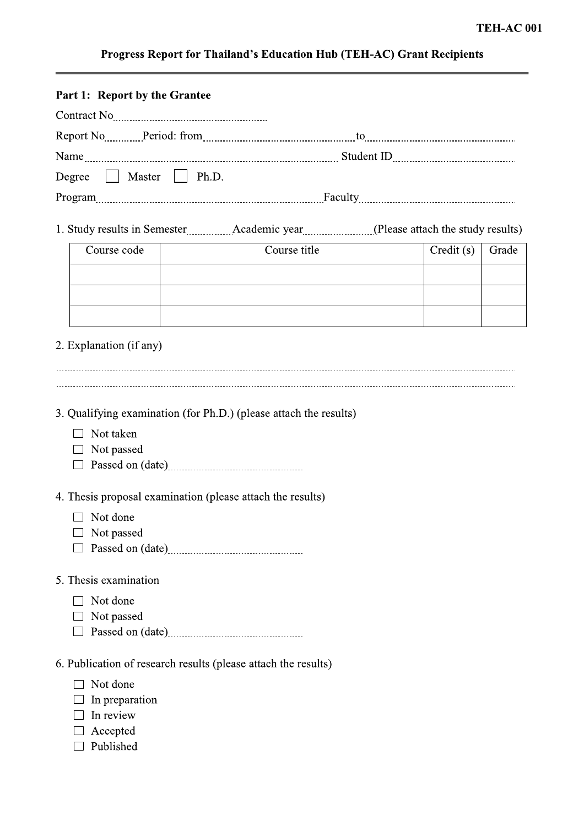## Progress Report for Thailand's Education Hub (TEH-AC) Grant Recipients

| Part 1: Report by the Grantee                                                           |              |           |       |  |  |
|-----------------------------------------------------------------------------------------|--------------|-----------|-------|--|--|
|                                                                                         |              |           |       |  |  |
| Report No Period: from Communication and Communication and Communication and Report No. |              |           |       |  |  |
|                                                                                         |              |           |       |  |  |
| Degree   Master   Ph.D.                                                                 |              |           |       |  |  |
| Program                                                                                 |              |           |       |  |  |
|                                                                                         |              |           |       |  |  |
| 1. Study results in Semester Materian Academic year (Please attach the study results)   |              |           |       |  |  |
| Course code                                                                             | Course title | Credit(s) | Grade |  |  |
|                                                                                         |              |           |       |  |  |
|                                                                                         |              |           |       |  |  |
|                                                                                         |              |           |       |  |  |
|                                                                                         |              |           |       |  |  |
| 2. Explanation (if any)                                                                 |              |           |       |  |  |
|                                                                                         |              |           |       |  |  |
|                                                                                         |              |           |       |  |  |
| 3. Qualifying examination (for Ph.D.) (please attach the results)                       |              |           |       |  |  |
| Not taken                                                                               |              |           |       |  |  |
| Not passed                                                                              |              |           |       |  |  |
|                                                                                         |              |           |       |  |  |
| 4. Thesis proposal examination (please attach the results)                              |              |           |       |  |  |
| Not done                                                                                |              |           |       |  |  |
| Not passed                                                                              |              |           |       |  |  |
|                                                                                         |              |           |       |  |  |
| 5. Thesis examination                                                                   |              |           |       |  |  |
| Not done                                                                                |              |           |       |  |  |
| Not passed                                                                              |              |           |       |  |  |
|                                                                                         |              |           |       |  |  |
| 6. Publication of research results (please attach the results)                          |              |           |       |  |  |
| Not done                                                                                |              |           |       |  |  |
| In preparation                                                                          |              |           |       |  |  |
| In review                                                                               |              |           |       |  |  |
| Accepted<br>Published                                                                   |              |           |       |  |  |
|                                                                                         |              |           |       |  |  |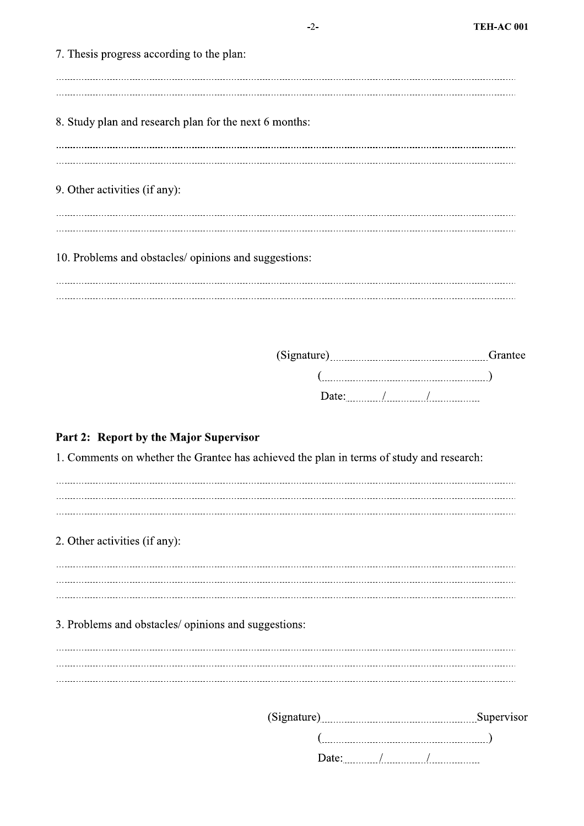| (Signature) |  | Supervisor |  |
|-------------|--|------------|--|
|             |  |            |  |
| Date:       |  |            |  |